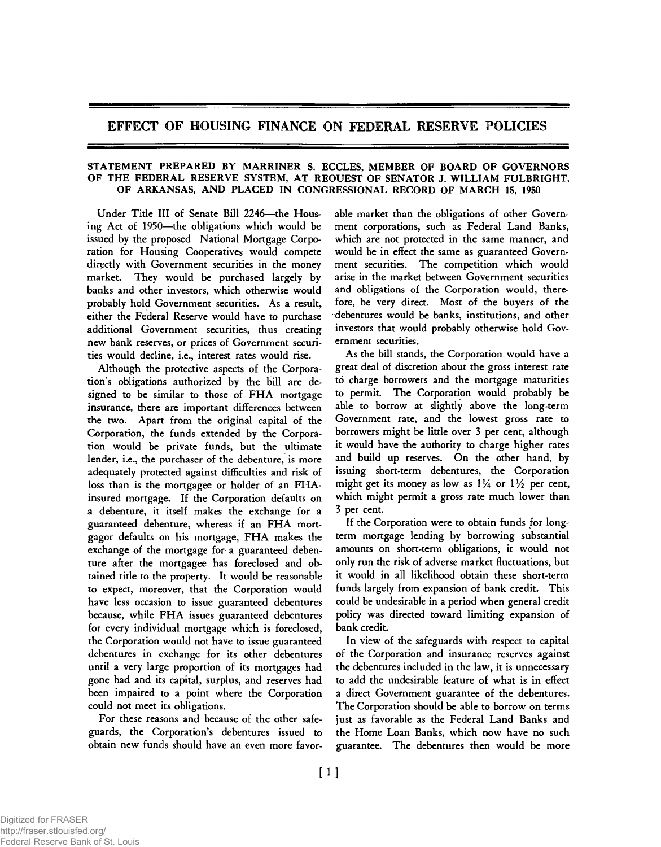## EFFECT OF HOUSING FINANCE ON FEDERAL RESERVE POLICIES

## STATEMENT PREPARED BY MARRINER S. ECCLES, MEMBER OF BOARD OF GOVERNORS OF THE FEDERAL RESERVE SYSTEM, AT REQUEST OF SENATOR J. WILLIAM FULBRIGHT, OF ARKANSAS, AND PLACED IN CONGRESSIONAL RECORD OF MARCH 15, 1950

Under Title III of Senate Bill 2246—the Housing Act of 1950—the obligations which would be issued by the proposed National Mortgage Corporation for Housing Cooperatives would compete directly with Government securities in the money market. They would be purchased largely by banks and other investors, which otherwise would probably hold Government securities. As a result, either the Federal Reserve would have to purchase additional Government securities, thus creating new bank reserves, or prices of Government securities would decline, i.e., interest rates would rise.

Although the protective aspects of the Corporation's obligations authorized by the bill are designed to be similar to those of FHA mortgage insurance, there are important differences between the two. Apart from the original capital of the Corporation, the funds extended by the Corporation would be private funds, but the ultimate lender, i.e., the purchaser of the debenture, is more adequately protected against difficulties and risk of loss than is the mortgagee or holder of an FHAinsured mortgage. If the Corporation defaults on a debenture, it itself makes the exchange for a guaranteed debenture, whereas if an FHA mortgagor defaults on his mortgage, FHA makes the exchange of the mortgage for a guaranteed debenture after the mortgagee has foreclosed and obtained title to the property. It would be reasonable to expect, moreover, that the Corporation would have less occasion to issue guaranteed debentures because, while FHA issues guaranteed debentures for every individual mortgage which is foreclosed, the Corporation would not have to issue guaranteed debentures in exchange for its other debentures until a very large proportion of its mortgages had gone bad and its capital, surplus, and reserves had been impaired to a point where the Corporation could not meet its obligations.

For these reasons and because of the other safeguards, the Corporation's debentures issued to obtain new funds should have an even more favorable market than the obligations of other Government corporations, such as Federal Land Banks, which are not protected in the same manner, and would be in effect the same as guaranteed Government securities. The competition which would arise in the market between Government securities and obligations of the Corporation would, therefore, be very direct. Most of the buyers of the debentures would be banks, institutions, and other investors that would probably otherwise hold Government securities.

As the bill stands, the Corporation would have a great deal of discretion about the gross interest rate to charge borrowers and the mortgage maturities to permit. The Corporation would probably be able to borrow at slightly above the long-term Government rate, and the lowest gross rate to borrowers might be little over 3 per cent, although it would have the authority to charge higher rates and build up reserves. On the other hand, by issuing short-term debentures, the Corporation might get its money as low as  $1\frac{1}{4}$  or  $1\frac{1}{2}$  per cent, which might permit a gross rate much lower than 3 per cent.

If the Corporation were to obtain funds for longterm mortgage lending by borrowing substantial amounts on short-term obligations, it would not only run the risk of adverse market fluctuations, but it would in all likelihood obtain these short-term funds largely from expansion of bank credit. This could be undesirable in a period when general credit policy was directed toward limiting expansion of bank credit.

In view of the safeguards with respect to capital of the Corporation and insurance reserves against the debentures included in the law, it is unnecessary to add the undesirable feature of what is in effect a direct Government guarantee of the debentures. The Corporation should be able to borrow on terms just as favorable as the Federal Land Banks and the Home Loan Banks, which now have no such guarantee. The debentures then would be more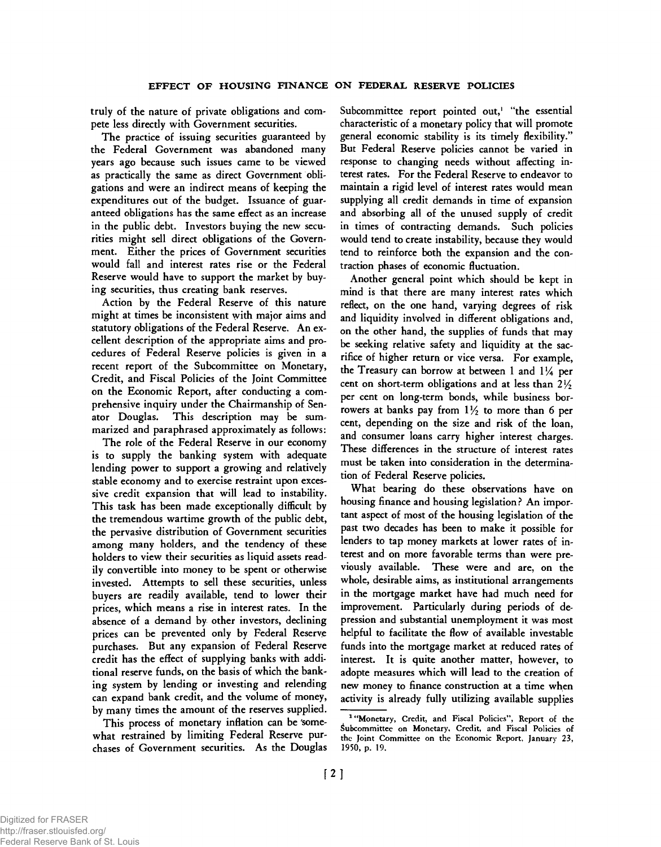truly of the nature of private obligations and compete less directly with Government securities.

The practice of issuing securities guaranteed by the Federal Government was abandoned many years ago because such issues came to be viewed as practically the same as direct Government obligations and were an indirect means of keeping the expenditures out of the budget. Issuance of guaranteed obligations has the same effect as an increase in the public debt. Investors buying the new securities might sell direct obligations of the Government. Either the prices of Government securities would fall and interest rates rise or the Federal Reserve would have to support the market by buying securities, thus creating bank reserves.

Action by the Federal Reserve of this nature might at times be inconsistent with major aims and statutory obligations of the Federal Reserve. An excellent description of the appropriate aims and procedures of Federal Reserve policies is given in a recent report of the Subcommittee on Monetary, Credit, and Fiscal Policies of the Joint Committee on the Economic Report, after conducting a comprehensive inquiry under the Chairmanship of Senator Douglas. This description may be summarized and paraphrased approximately as follows:

The role of the Federal Reserve in our economy is to supply the banking system with adequate lending power to support a growing and relatively stable economy and to exercise restraint upon excessive credit expansion that will lead to instability. This task has been made exceptionally difficult by the tremendous wartime growth of the public debt, the pervasive distribution of Government securities among many holders, and the tendency of these holders to view their securities as liquid assets readily convertible into money to be spent or otherwise invested. Attempts to sell these securities, unless buyers are readily available, tend to lower their prices, which means a rise in interest rates. In the absence of a demand by other investors, declining prices can be prevented only by Federal Reserve purchases. But any expansion of Federal Reserve credit has the effect of supplying banks with additional reserve funds, on the basis of which the banking system by lending or investing and relending can expand bank credit, and the volume of money, by many times the amount of the reserves supplied.

This process of monetary inflation can be 'somewhat restrained by limiting Federal Reserve purchases of Government securities. As the Douglas Subcommittee report pointed out,<sup>1</sup> "the essential characteristic of a monetary policy that will promote general economic stability is its timely flexibility." But Federal Reserve policies cannot be varied in response to changing needs without affecting interest rates. For the Federal Reserve to endeavor to maintain a rigid level of interest rates would mean supplying all credit demands in time of expansion and absorbing all of the unused supply of credit in times of contracting demands. Such policies would tend to create instability, because they would tend to reinforce both the expansion and the contraction phases of economic fluctuation.

Another general point which should be kept in mind is that there are many interest rates which reflect, on the one hand, varying degrees of risk and liquidity involved in different obligations and, on the other hand, the supplies of funds that may be seeking relative safety and liquidity at the sacrifice of higher return or vice versa. For example, the Treasury can borrow at between 1 and  $1/4$  per cent on short-term obligations and at less than*<sup>2</sup> <sup>l</sup> / <sup>2</sup>* per cent on long-term bonds, while business borrowers at banks pay from  $1\frac{1}{2}$  to more than 6 per cent, depending on the size and risk of the loan, and consumer loans carry higher interest charges. These differences in the structure of interest rates must be taken into consideration in the determination of Federal Reserve policies.

What bearing do these observations have on housing finance and housing legislation? An important aspect of most of the housing legislation of the past two decades has been to make it possible for lenders to tap money markets at lower rates of interest and on more favorable terms than were previously available. These were and are, on the whole, desirable aims, as institutional arrangements in the mortgage market have had much need for improvement. Particularly during periods of depression and substantial unemployment it was most helpful to facilitate the flow of available investable funds into the mortgage market at reduced rates of interest. It is quite another matter, however, to adopte measures which will lead to the creation of new money to finance construction at a time when activity is already fully utilizing available supplies

<sup>&</sup>lt;sup>1</sup> "Monetary, Credit, and Fiscal Policies", Report of the Subcommittee on Monetary, Credit, and Fiscal Policies of the Joint Committee on the Economic Report, January 23, 1950, p. 19.